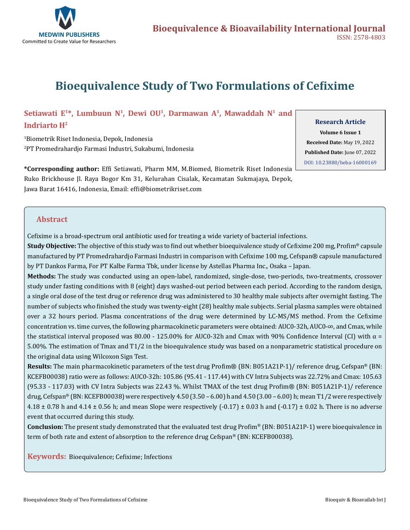

# **Bioequivalence Study of Two Formulations of Cefixime**

## Setiawati E<sup>1\*</sup>, Lumbuun N<sup>1</sup>, Dewi OU<sup>1</sup>, Darmawan A<sup>1</sup>, Mawaddah N<sup>1</sup> and

#### **Indriarto H2**

1 Biometrik Riset Indonesia, Depok, Indonesia 2 PT Promedrahardjo Farmasi Industri, Sukabumi, Indonesia **Research Article**

**Volume 6 Issue 1 Received Date:** May 19, 2022 **Published Date:** June 07, 2022 [DOI: 10.23880/beba-16000169](https://doi.org/10.23880/beba-16000169)

**\*Corresponding author:** Effi Setiawati, Pharm MM, M.Biomed, Biometrik Riset Indonesia Ruko Brickhouse Jl. Raya Bogor Km 31, Kelurahan Cisalak, Kecamatan Sukmajaya, Depok, Jawa Barat 16416, Indonesia, Email: effi@biometrikriset.com

### **Abstract**

Cefixime is a broad-spectrum oral antibiotic used for treating a wide variety of bacterial infections.

**Study Objective:** The objective of this study was to find out whether bioequivalence study of Cefixime 200 mg, Profim® capsule manufactured by PT Promedrahardjo Farmasi Industri in comparison with Cefixime 100 mg, Cefspan® capsule manufactured by PT Dankos Farma, For PT Kalbe Farma Tbk, under license by Astellas Pharma Inc., Osaka – Japan.

**Methods:** The study was conducted using an open-label, randomized, single-dose, two-periods, two-treatments, crossover study under fasting conditions with 8 (eight) days washed-out period between each period. According to the random design, a single oral dose of the test drug or reference drug was administered to 30 healthy male subjects after overnight fasting. The number of subjects who finished the study was twenty-eight (28) healthy male subjects. Serial plasma samples were obtained over a 32 hours period. Plasma concentrations of the drug were determined by LC-MS/MS method. From the Cefixime concentration vs. time curves, the following pharmacokinetic parameters were obtained: AUC0-32h, AUC0-∞, and Cmax, while the statistical interval proposed was 80.00 - 125.00% for AUC0-32h and Cmax with 90% Confidence Interval (CI) with  $α =$ 5.00%. The estimation of Tmax and T1/2 in the bioequivalence study was based on a nonparametric statistical procedure on the original data using Wilcoxon Sign Test.

**Results:** The main pharmacokinetic parameters of the test drug Profim® (BN: B051A21P-1)/ reference drug, Cefspan® (BN: KCEFB00038) ratio were as follows: AUC0-32h: 105.86 (95.41 - 117.44) with CV Intra Subjects was 22.72% and Cmax: 105.63 (95.33 - 117.03) with CV Intra Subjects was 22.43 %. Whilst TMAX of the test drug Profim® (BN: B051A21P-1)/ reference drug, Cefspan® (BN: KCEFB00038) were respectively  $4.50$  (3.50 – 6.00) h and  $4.50$  (3.00 – 6.00) h; mean T1/2 were respectively 4.18  $\pm$  0.78 h and 4.14  $\pm$  0.56 h; and mean Slope were respectively (-0.17)  $\pm$  0.03 h and (-0.17)  $\pm$  0.02 h. There is no adverse event that occurred during this study.

**Conclusion:** The present study demonstrated that the evaluated test drug Profim® (BN: B051A21P-1) were bioequivalence in term of both rate and extent of absorption to the reference drug Cefspan® (BN: KCEFB00038).

**Keywords:** Bioequivalence; Cefixime; Infections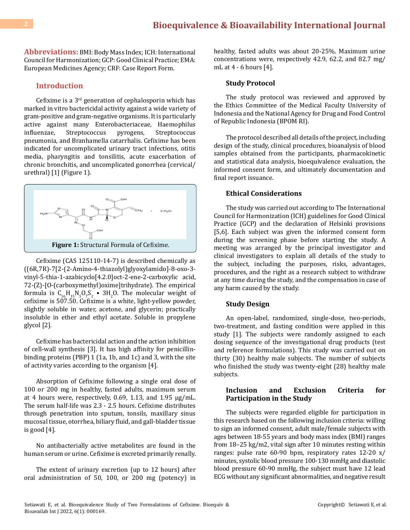**Abbreviations:** BMI: Body Mass Index; ICH: International Council for Harmonization; GCP: Good Clinical Practice; EMA: European Medicines Agency; CRF: Case Report Form.

#### **Introduction**

Cefixime is a 3rd generation of cephalosporin which has marked in vitro bactericidal activity against a wide variety of gram-positive and gram-negative organisms. It is particularly active against many Enterobacteriaceae, Haemophilus influenzae, Streptococcus pyrogens, Streptococcus pneumonia, and Branhamella catarrhalis. Cefixime has been indicated for uncomplicated urinary tract infections, otitis media, pharyngitis and tonsilitis, acute exacerbation of chronic bronchitis, and uncomplicated gonorrhea (cervical/ urethral) [1] (Figure 1).



Cefixime (CAS 125110-14-7) is described chemically as ((6R,7R)-7[2-(2-Amino-4-thiazolyl)glyoxylamido]-8-oxo-3 vinyl-5-thia-1-azabicyclo[4.2.0]oct-2-ene-2-carboxylic acid, 72-(Z)-[O-(carboxymethyl)oxime]trihydrate). The empirical formula is  $C_{16}H_{15}N_5O_7S_2$  • 3H<sub>2</sub>O. The molecular weight of cefixime is 507.50. Cefixime is a white, light-yellow powder, slightly soluble in water, acetone, and glycerin; practically insoluble in ether and ethyl acetate. Soluble in propylene glycol [2].

Cefixime has bactericidal action and the action inhibition of cell-wall synthesis [3]. It has high affinity for penicillinbinding proteins (PBP) 1 (1a, 1b, and 1c) and 3, with the site of activity varies according to the organism [4].

Absorption of Cefixime following a single oral dose of 100 or 200 mg in healthy, fasted adults, maximum serum at 4 hours were, respectively, 0.69, 1.13, and 1.95 μg/mL. The serum half-life was 2.3 - 2.5 hours. Cefixime distributes through penetration into sputum, tonsils, maxillary sinus mucosal tissue, otorrhea, biliary fluid, and gall-bladder tissue is good [4].

No antibacterially active metabolites are found in the human serum or urine. Cefixime is excreted primarily renally.

The extent of urinary excretion (up to 12 hours) after oral administration of 50, 100, or 200 mg (potency) in healthy, fasted adults was about 20-25%. Maximum urine concentrations were, respectively 42.9, 62.2, and 82.7 mg/ mL at 4 - 6 hours [4].

#### **Study Protocol**

The study protocol was reviewed and approved by the Ethics Committee of the Medical Faculty University of Indonesia and the National Agency for Drug and Food Control of Republic Indonesia (BPOM RI).

The protocol described all details of the project, including design of the study, clinical procedures, bioanalysis of blood samples obtained from the participants, pharmacokinetic and statistical data analysis, bioequivalence evaluation, the informed consent form, and ultimately documentation and final report issuance.

#### **Ethical Considerations**

The study was carried out according to The International Council for Harmonization (ICH) guidelines for Good Clinical Practice (GCP) and the declaration of Helsinki provisions [5,6]. Each subject was given the informed consent form during the screening phase before starting the study. A meeting was arranged by the principal investigator and clinical investigators to explain all details of the study to the subject, including the purposes, risks, advantages, procedures, and the right as a research subject to withdraw at any time during the study, and the compensation in case of any harm caused by the study.

#### **Study Design**

An open-label, randomized, single-dose, two-periods, two-treatment, and fasting condition were applied in this study [1]. The subjects were randomly assigned to each dosing sequence of the investigational drug products (test and reference formulations). This study was carried out on thirty (30) healthy male subjects. The number of subjects who finished the study was twenty-eight (28) healthy male subjects.

#### **Inclusion and Exclusion Criteria for Participation in the Study**

The subjects were regarded eligible for participation in this research based on the following inclusion criteria: willing to sign an informed consent, adult male/female subjects with ages between 18-55 years and body mass index (BMI) ranges from 18–25 kg/m2, vital sign after 10 minutes resting within ranges: pulse rate 60-90 bpm, respiratory rates 12-20 x/ minutes, systolic blood pressure 100-130 mmHg and diastolic blood pressure 60-90 mmHg, the subject must have 12 lead ECG without any significant abnormalities, and negative result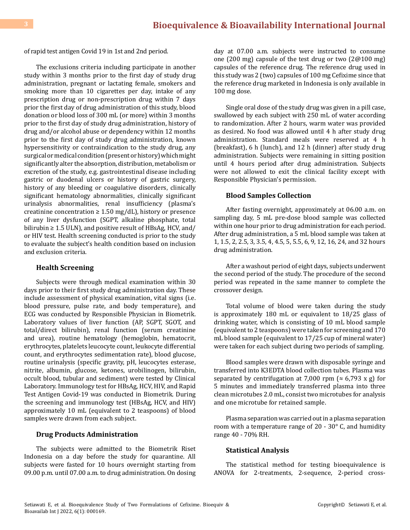of rapid test antigen Covid 19 in 1st and 2nd period.

The exclusions criteria including participate in another study within 3 months prior to the first day of study drug administration, pregnant or lactating female, smokers and smoking more than 10 cigarettes per day, intake of any prescription drug or non-prescription drug within 7 days prior the first day of drug administration of this study, blood donation or blood loss of 300 mL (or more) within 3 months prior to the first day of study drug administration, history of drug and/or alcohol abuse or dependency within 12 months prior to the first day of study drug administration, known hypersensitivity or contraindication to the study drug, any surgical or medical condition (present or history) which might significantly alter the absorption, distribution, metabolism or excretion of the study, e.g. gastrointestinal disease including gastric or duodenal ulcers or history of gastric surgery, history of any bleeding or coagulative disorders, clinically significant hematology abnormalities, clinically significant urinalysis abnormalities, renal insufficiency (plasma's creatinine concentration  $\geq 1.50$  mg/dL), history or presence of any liver dysfunction (SGPT, alkaline phosphate, total bilirubin  $\geq 1.5$  ULN), and positive result of HBsAg, HCV, and/ or HIV test. Health screening conducted is prior to the study to evaluate the subject's health condition based on inclusion and exclusion criteria.

#### **Health Screening**

Subjects were through medical examination within 30 days prior to their first study drug administration day. These include assessment of physical examination, vital signs (i.e. blood pressure, pulse rate, and body temperature), and ECG was conducted by Responsible Physician in Biometrik. Laboratory values of liver function (AP, SGPT, SGOT, and total/direct bilirubin), renal function (serum creatinine and urea), routine hematology (hemoglobin, hematocrit, erythrocytes, platelets leucocyte count, leukocyte differential count, and erythrocytes sedimentation rate), blood glucose, routine urinalysis (specific gravity, pH, leucocytes esterase, nitrite, albumin, glucose, ketones, urobilinogen, bilirubin, occult blood, tubular and sediment) were tested by Clinical Laboratory. Immunology test for HBsAg, HCV, HIV, and Rapid Test Antigen Covid-19 was conducted in Biometrik. During the screening and immunology test (HBsAg, HCV, and HIV) approximately 10 mL (equivalent to 2 teaspoons) of blood samples were drawn from each subject.

#### **Drug Products Administration**

The subjects were admitted to the Biometrik Riset Indonesia on a day before the study for quarantine. All subjects were fasted for 10 hours overnight starting from 09.00 p.m. until 07.00 a.m. to drug administration. On dosing day at 07.00 a.m. subjects were instructed to consume one (200 mg) capsule of the test drug or two (2@100 mg) capsules of the reference drug. The reference drug used in this study was 2 (two) capsules of 100 mg Cefixime since that the reference drug marketed in Indonesia is only available in 100 mg dose.

Single oral dose of the study drug was given in a pill case, swallowed by each subject with 250 mL of water according to randomization. After 2 hours, warm water was provided as desired. No food was allowed until 4 h after study drug administration. Standard meals were reserved at 4 h (breakfast), 6 h (lunch), and 12 h (dinner) after study drug administration. Subjects were remaining in sitting position until 4 hours period after drug administration. Subjects were not allowed to exit the clinical facility except with Responsible Physician's permission.

#### **Blood Samples Collection**

After fasting overnight, approximately at 06.00 a.m. on sampling day, 5 mL pre-dose blood sample was collected within one hour prior to drug administration for each period. After drug administration, a 5 mL blood sample was taken at 1, 1.5, 2, 2.5, 3, 3.5, 4, 4.5, 5, 5.5, 6, 9, 12, 16, 24, and 32 hours drug administration.

After a washout period of eight days, subjects underwent the second period of the study. The procedure of the second period was repeated in the same manner to complete the crossover design.

Total volume of blood were taken during the study is approximately 180 mL or equivalent to 18/25 glass of drinking water, which is consisting of 10 mL blood sample (equivalent to 2 teaspoons) were taken for screening and 170 mL blood sample (equivalent to 17/25 cup of mineral water) were taken for each subject during two periods of sampling.

Blood samples were drawn with disposable syringe and transferred into K3EDTA blood collection tubes. Plasma was separated by centrifugation at 7,000 rpm ( $\approx$  6,793 x g) for 5 minutes and immediately transferred plasma into three clean microtubes 2.0 mL, consist two microtubes for analysis and one microtube for retained sample.

Plasma separation was carried out in a plasma separation room with a temperature range of  $20 - 30^\circ$  C, and humidity range 40 - 70% RH.

#### **Statistical Analysis**

The statistical method for testing bioequivalence is ANOVA for 2-treatments, 2-sequence, 2-period cross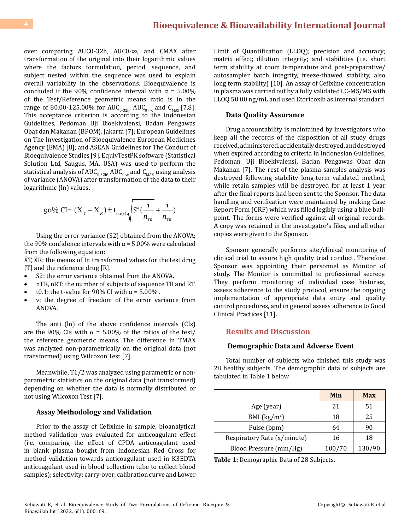over comparing AUC0-32h, AUC0-∞, and CMAX after transformation of the original into their logarithmic values where the factors formulation, period, sequence, and subject nested within the sequence was used to explain overall variability in the observations. Bioequivalence is concluded if the 90% confidence interval with  $\alpha = 5.00\%$ of the Test/Reference geometric means ratio is in the range of 80.00-125.00% for AUC<sub>0-32h</sub>, AUC<sub>0-∞,</sub> and C<sub>MAX</sub> [7,8]. This acceptance criterion is according to the Indonesian Guidelines, Pedoman Uji Bioekivalensi, Badan Pengawas Obat dan Makanan (BPOM), Jakarta [7]; European Guidelines on The Investigation of Bioequivalence European Medicines Agency (EMA) [8]; and ASEAN Guidelines for The Conduct of Bioequivalence Studies [9]. EquivTestPK software (Statistical Solution Ltd, Saugus, MA, USA) was used to perform the statistical analysis of  $AUC_{0-32h}$ ,  $AUC_{0-\infty}$  and  $C_{MAX}$  using analysis of variance (ANOVA) after transformation of the data to their logarithmic (ln) values.

$$
90\% CI = (X_{T} - X_{R}) \pm t_{o.i(v)} \sqrt{S^{2}(\frac{1}{n_{TR}} + \frac{1}{n_{TR}})}
$$

Using the error variance (S2) obtained from the ANOVA; the 90% confidence intervals with  $\alpha$  = 5.00% were calculated from the following equation:

 $\overline{X}$ T,  $\overline{X}$ R: the means of In transformed values for the test drug [T] and the reference drug [R].

- S2: the error variance obtained from the ANOVA.
- nTR, nRT: the number of subjects of sequence TR and RT.
- t0.1: the t-value for 90% CI with  $\alpha$  = 5.00%.
- v: the degree of freedom of the error variance from ANOVA.

The anti (ln) of the above confidence intervals (CIs) are the 90% CIs with  $\alpha$  = 5.00% of the ratios of the test/ the reference geometric means. The difference in TMAX was analyzed non-parametrically on the original data (not transformed) using Wilcoxon Test [7].

Meanwhile, T1/2 was analyzed using parametric or nonparametric statistics on the original data (not transformed) depending on whether the data is normally distributed or not using Wilcoxon Test [7].

#### **Assay Methodology and Validation**

Prior to the assay of Cefixime in sample, bioanalytical method validation was evaluated for anticoagulant effect (i.e. comparing the effect of CPDA anticoagulant used in blank plasma bought from Indonesian Red Cross for method validation towards anticoagulant used in K3EDTA anticoagulant used in blood collection tube to collect blood samples); selectivity; carry-over; calibration curve and Lower

Limit of Quantification (LLOQ); precision and accuracy; matrix effect; dilution integrity; and stabilities (i.e. short term stability at room temperature and post-preparative/ autosampler batch integrity, freeze-thawed stability, also long term stability) [10]. An assay of Cefixime concentration in plasma was carried out by a fully validated LC-MS/MS with LLOQ 50.00 ng/mL and used Etoricoxib as internal standard.

#### **Data Quality Assurance**

Drug accountability is maintained by investigators who keep all the records of the disposition of all study drugs received, administered, accidentally destroyed, and destroyed when expired according to criteria in Indonesian Guidelines, Pedoman. Uji Bioekivalensi, Badan Pengawas Obat dan Makanan [7]. The rest of the plasma samples analysis was destroyed following stability long-term validated method, while retain samples will be destroyed for at least 1 year after the final reports had been sent to the Sponsor. The data handling and verification were maintained by making Case Report Form (CRF) which was filled legibly using a blue ballpoint. The forms were verified against all original records. A copy was retained in the investigator's files, and all other copies were given to the Sponsor.

Sponsor generally performs site/clinical monitoring of clinical trial to assure high quality trial conduct. Therefore Sponsor was appointing their personnel as Monitor of study. The Monitor is committed to professional secrecy. They perform monitoring of individual case histories, assess adherence to the study protocol, ensure the ongoing implementation of appropriate data entry and quality control procedures, and in general assess adherence to Good Clinical Practices [11].

#### **Results and Discussion**

#### **Demographic Data and Adverse Event**

Total number of subjects who finished this study was 28 healthy subjects. The demographic data of subjects are tabulated in Table 1 below.

|                             | Min    | <b>Max</b> |  |
|-----------------------------|--------|------------|--|
| Age (year)                  | 21     | 51         |  |
| BMI $(kg/m2)$               | 18     | 25         |  |
| Pulse (bpm)                 | 64     | 90         |  |
| Respiratory Rate (x/minute) | 16     | 18         |  |
| Blood Pressure (mm/Hg)      | 100/70 | 130/90     |  |

**Table 1:** Demographic Data of 28 Subjects.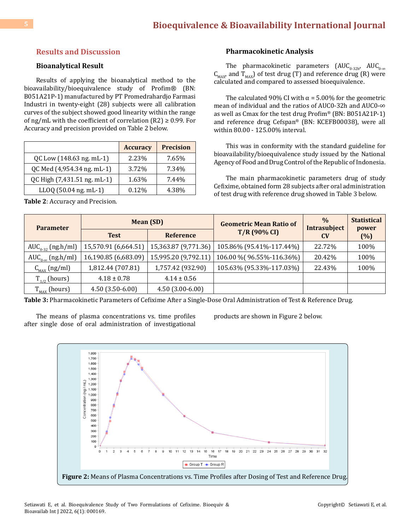#### **Results and Discussion**

#### **Bioanalytical Result**

Results of applying the bioanalytical method to the bioavailability/bioequivalence study of Profim® (BN: B051A21P-1) manufactured by PT Promedrahardjo Farmasi Industri in twenty-eight (28) subjects were all calibration curves of the subject showed good linearity within the range of ng/mL with the coefficient of correlation  $(R2) \ge 0.99$ . For Accuracy and precision provided on Table 2 below.

|                             | <b>Accuracy</b> | <b>Precision</b> |
|-----------------------------|-----------------|------------------|
| QC Low (148.63 ng. mL-1)    | 2.23%           | 7.65%            |
| QC Med (4,954.34 ng. mL-1)  | 3.72%           | 7.34%            |
| QC High (7,431.51 ng. mL-1) | 1.63%           | 7.44%            |
| LLOQ (50.04 ng. mL-1)       | 0.12%           | 4.38%            |

**Table 2**: Accuracy and Precision.

#### **Pharmacokinetic Analysis**

The pharmacokinetic parameters  $(AUC_{0.32h'}$   $AUC_{0.\infty}$  $C_{MAX}$  and  $T_{MAX}$ ) of test drug (T) and reference drug (R) were calculated and compared to assessed bioequivalence.

The calculated 90% CI with  $\alpha$  = 5.00% for the geometric mean of individual and the ratios of AUC0-32h and AUC0-∞ as well as Cmax for the test drug Profim® (BN: B051A21P-1) and reference drug Cefspan® (BN: KCEFB00038), were all within 80.00 - 125.00% interval.

This was in conformity with the standard guideline for bioavailability/bioequivalence study issued by the National Agency of Food and Drug Control of the Republic of Indonesia.

The main pharmacokinetic parameters drug of study Cefixime, obtained form 28 subjects after oral administration of test drug with reference drug showed in Table 3 below.

| <b>Parameter</b>                               | <b>Mean (SD)</b>     |                      | <b>Geometric Mean Ratio of</b> | $\frac{0}{0}$<br>Intrasubject | <b>Statistical</b><br>power |
|------------------------------------------------|----------------------|----------------------|--------------------------------|-------------------------------|-----------------------------|
|                                                | <b>Test</b>          | <b>Reference</b>     | $T/R$ (90% CI)                 | <b>CV</b>                     | (% )                        |
| $AUC_{0.32}$ (ng.h/ml)                         | 15,570.91 (6,664.51) | 15,363.87 (9,771.36) | 105.86% (95.41%-117.44%)       | 22.72%                        | 100%                        |
| AUC <sub>0-<math>\infty</math></sub> (ng.h/ml) | 16,190.85 (6,683.09) | 15,995.20 (9,792.11) | 106.00 % (96.55%-116.36%)      | 20.42%                        | 100%                        |
| $C_{MAX}$ (ng/ml)                              | 1,812.44 (707.81)    | 1,757.42 (932.90)    | 105.63% (95.33%-117.03%)       | 22.43%                        | 100%                        |
| $T_{1/2}$ (hours)                              | $4.18 \pm 0.78$      | $4.14 \pm 0.56$      |                                |                               |                             |
| $\rm T_{_{MAX}}$ (hours)                       | $4.50(3.50-6.00)$    | $4.50(3.00-6.00)$    |                                |                               |                             |

**Table 3:** Pharmacokinetic Parameters of Cefixime After a Single-Dose Oral Administration of Test & Reference Drug.

The means of plasma concentrations vs. time profiles after single dose of oral administration of investigational products are shown in Figure 2 below.